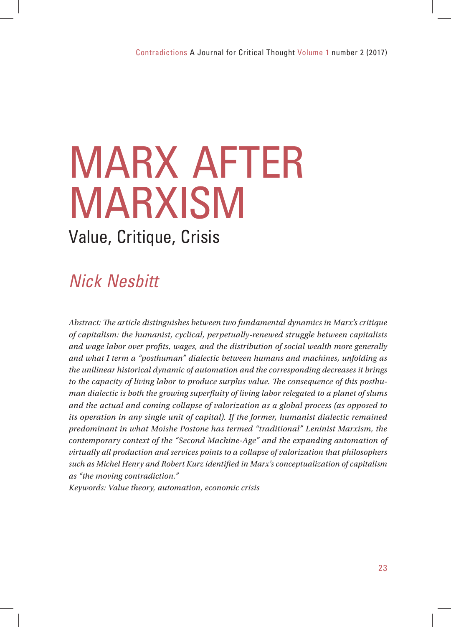# MARX AFTER MARXISM

### Value, Critique, Crisis

## Nick Nesbitt

Abstract: The article distinguishes between two fundamental dynamics in Marx's critique *of capitalism: the humanist, cyclical, perpetually-renewed struggle between capitalists and wage labor over profits, wages, and the distribution of social wealth more generally and what I term a "posthuman" dialectic between humans and machines, unfolding as the unilinear historical dynamic of automation and the corresponding decreases it brings*  to the capacity of living labor to produce surplus value. The consequence of this posthu*man dialectic is both the growing superfluity of living labor relegated to a planet of slums and the actual and coming collapse of valorization as a global process (as opposed to its operation in any single unit of capital). If the former, humanist dialectic remained predominant in what Moishe Postone has termed "traditional" Leninist Marxism, the contemporary context of the "Second Machine-Age" and the expanding automation of virtually all production and services points to a collapse of valorization that philosophers such as Michel Henry and Robert Kurz identifi ed in Marx's conceptualization of capitalism as "the moving contradiction."*

*Keywords: Value theory, automation, economic crisis*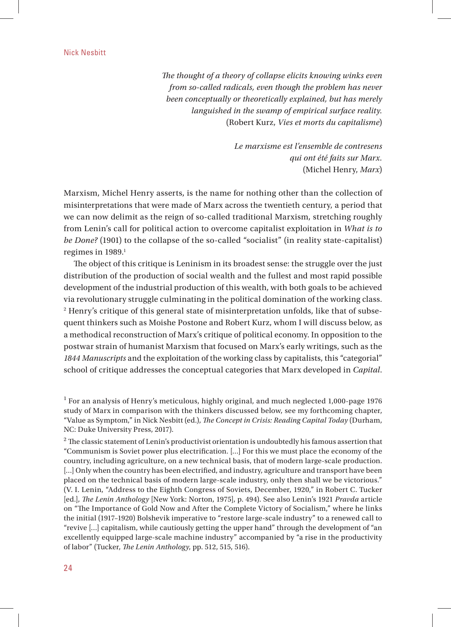The thought of a theory of collapse elicits knowing winks even *from so-called radicals, even though the problem has never been conceptually or theoretically explained, but has merely languished in the swamp of empirical surface reality.* (Robert Kurz, *Vies et morts du capitalisme*)

> *Le marxisme est l'ensemble de contresens qui ont été faits sur Marx.* (Michel Henry, *Marx*)

Marxism, Michel Henry asserts, is the name for nothing other than the collection of misinterpretations that were made of Marx across the twentieth century, a period that we can now delimit as the reign of so-called traditional Marxism, stretching roughly from Lenin's call for political action to overcome capitalist exploitation in *What is to be Done?* (1901) to the collapse of the so-called "socialist" (in reality state-capitalist) regimes in 1989.<sup>1</sup>

The object of this critique is Leninism in its broadest sense: the struggle over the just distribution of the production of social wealth and the fullest and most rapid possible development of the industrial production of this wealth, with both goals to be achieved via revolutionary struggle culminating in the political domination of the working class. 2 Henry's critique of this general state of misinterpretation unfolds, like that of subsequent thinkers such as Moishe Postone and Robert Kurz, whom I will discuss below, as a methodical reconstruction of Marx's critique of political economy. In opposition to the postwar strain of humanist Marxism that focused on Marx's early writings, such as the *1844 Manuscripts* and the exploitation of the working class by capitalists, this "categorial" school of critique addresses the conceptual categories that Marx developed in *Capital*.

<sup>&</sup>lt;sup>1</sup> For an analysis of Henry's meticulous, highly original, and much neglected 1,000-page 1976 study of Marx in comparison with the thinkers discussed below, see my forthcoming chapter, "Value as Symptom," in Nick Nesbitt (ed.), *The Concept in Crisis: Reading Capital Today* (Durham, NC: Duke University Press, 2017).

 $^2$  The classic statement of Lenin's productivist orientation is undoubtedly his famous assertion that "Communism is Soviet power plus electrification. [...] For this we must place the economy of the country, including agriculture, on a new technical basis, that of modern large-scale production. [...] Only when the country has been electrified, and industry, agriculture and transport have been placed on the technical basis of modern large-scale industry, only then shall we be victorious." (V. I. Lenin, "Address to the Eighth Congress of Soviets, December, 1920," in Robert C. Tucker [ed.], *Th e Lenin Anthology* [New York: Norton, 1975], p. 494). See also Lenin's 1921 *Pravda* article on "The Importance of Gold Now and After the Complete Victory of Socialism," where he links the initial (1917–1920) Bolshevik imperative to "restore large-scale industry" to a renewed call to "revive […] capitalism, while cautiously getting the upper hand" through the development of "an excellently equipped large-scale machine industry" accompanied by "a rise in the productivity of labor" (Tucker, *The Lenin Anthology*, pp. 512, 515, 516).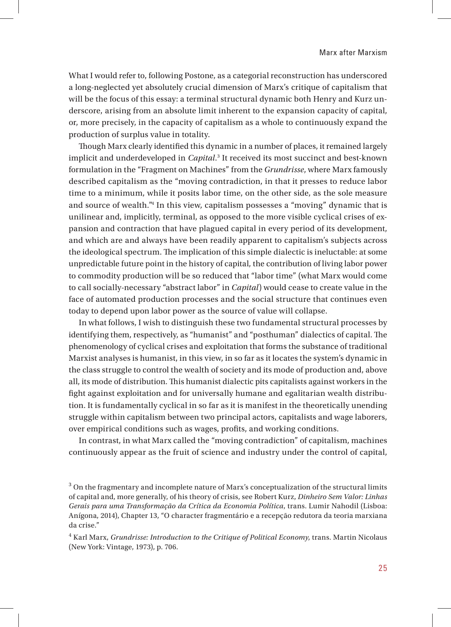What I would refer to, following Postone, as a categorial reconstruction has underscored a long-neglected yet absolutely crucial dimension of Marx's critique of capitalism that will be the focus of this essay: a terminal structural dynamic both Henry and Kurz underscore, arising from an absolute limit inherent to the expansion capacity of capital, or, more precisely, in the capacity of capitalism as a whole to continuously expand the production of surplus value in totality.

Though Marx clearly identified this dynamic in a number of places, it remained largely implicit and underdeveloped in *Capital*.<sup>3</sup> It received its most succinct and best-known formulation in the "Fragment on Machines" from the *Grundrisse*, where Marx famously described capitalism as the "moving contradiction, in that it presses to reduce labor time to a minimum, while it posits labor time, on the other side, as the sole measure and source of wealth."4 In this view, capitalism possesses a "moving" dynamic that is unilinear and, implicitly, terminal, as opposed to the more visible cyclical crises of expansion and contraction that have plagued capital in every period of its development, and which are and always have been readily apparent to capitalism's subjects across the ideological spectrum. The implication of this simple dialectic is ineluctable: at some unpredictable future point in the history of capital, the contribution of living labor power to commodity production will be so reduced that "labor time" (what Marx would come to call socially-necessary "abstract labor" in *Capital*) would cease to create value in the face of automated production processes and the social structure that continues even today to depend upon labor power as the source of value will collapse.

In what follows, I wish to distinguish these two fundamental structural processes by identifying them, respectively, as "humanist" and "posthuman" dialectics of capital. The phenomenology of cyclical crises and exploitation that forms the substance of traditional Marxist analyses is humanist, in this view, in so far as it locates the system's dynamic in the class struggle to control the wealth of society and its mode of production and, above all, its mode of distribution. This humanist dialectic pits capitalists against workers in the fight against exploitation and for universally humane and egalitarian wealth distribution. It is fundamentally cyclical in so far as it is manifest in the theoretically unending struggle within capitalism between two principal actors, capitalists and wage laborers, over empirical conditions such as wages, profits, and working conditions.

In contrast, in what Marx called the "moving contradiction" of capitalism, machines continuously appear as the fruit of science and industry under the control of capital,

 $3$  On the fragmentary and incomplete nature of Marx's conceptualization of the structural limits of capital and, more generally, of his theory of crisis, see Robert Kurz, *Dinheiro Sem Valor: Linhas Gerais para uma Transformação da Crítica da Economia Política*, trans. Lumir Nahodil (Lisboa: Anígona, 2014), Chapter 13, "O character fragmentário e a recepção redutora da teoria marxiana da crise."

<sup>4</sup> Karl Marx, *Grundrisse: Introduction to the Critique of Political Economy*, trans. Martin Nicolaus (New York: Vintage, 1973), p. 706.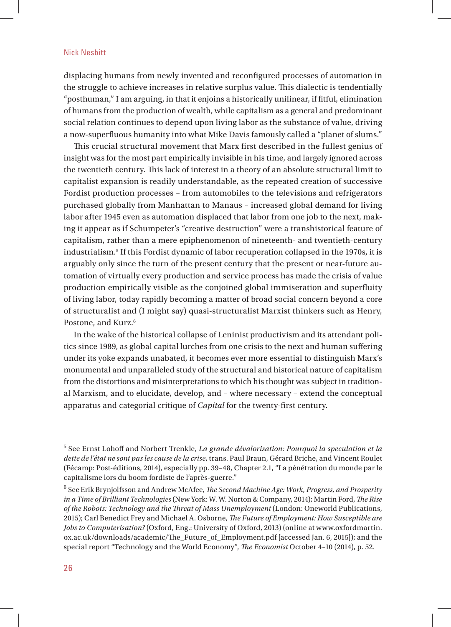displacing humans from newly invented and reconfigured processes of automation in the struggle to achieve increases in relative surplus value. This dialectic is tendentially "posthuman," I am arguing, in that it enjoins a historically unilinear, if fitful, elimination of humans from the production of wealth, while capitalism as a general and predominant social relation continues to depend upon living labor as the substance of value, driving a now-superfluous humanity into what Mike Davis famously called a "planet of slums."

This crucial structural movement that Marx first described in the fullest genius of insight was for the most part empirically invisible in his time, and largely ignored across the twentieth century. This lack of interest in a theory of an absolute structural limit to capitalist expansion is readily understandable, as the repeated creation of successive Fordist production processes – from automobiles to the televisions and refrigerators purchased globally from Manhattan to Manaus – increased global demand for living labor after 1945 even as automation displaced that labor from one job to the next, making it appear as if Schumpeter's "creative destruction" were a transhistorical feature of capitalism, rather than a mere epiphenomenon of nineteenth- and twentieth-century industrialism.5 If this Fordist dynamic of labor recuperation collapsed in the 1970s, it is arguably only since the turn of the present century that the present or near-future automation of virtually every production and service process has made the crisis of value production empirically visible as the conjoined global immiseration and superfluity of living labor, today rapidly becoming a matter of broad social concern beyond a core of structuralist and (I might say) quasi-structuralist Marxist thinkers such as Henry, Postone, and Kurz.<sup>6</sup>

In the wake of the historical collapse of Leninist productivism and its attendant politics since 1989, as global capital lurches from one crisis to the next and human suffering under its yoke expands unabated, it becomes ever more essential to distinguish Marx's monumental and unparalleled study of the structural and historical nature of capitalism from the distortions and misinterpretations to which his thought was subject in traditional Marxism, and to elucidate, develop, and – where necessary – extend the conceptual apparatus and categorial critique of *Capital* for the twenty-first century.

5 See Ernst Lohoff and Norbert Trenkle, *La grande dévalorisation: Pourquoi la speculation et la dette de l'état ne sont pas les cause de la crise*, trans. Paul Braun, Gérard Briche, and Vincent Roulet (Fécamp: Post-éditions, 2014), especially pp. 39–48, Chapter 2.1, "La pénétration du monde par le capitalisme lors du boom fordiste de l'après-guerre."

<sup>6</sup> See Erik Brynjolfsson and Andrew McAfee, *The Second Machine Age: Work, Progress, and Prosperity in a Time of Brilliant Technologies* (New York: W. W. Norton & Company, 2014); Martin Ford, *The Rise* of the Robots: Technology and the Threat of Mass Unemployment (London: Oneworld Publications, 2015); Carl Benedict Frey and Michael A. Osborne, *The Future of Employment: How Susceptible are Jobs to Computerisation?* (Oxford, Eng.: University of Oxford, 2013) (online at www.oxfordmartin. ox.ac.uk/downloads/academic/The\_Future\_of\_Employment.pdf [accessed Jan. 6, 2015]); and the special report "Technology and the World Economy", *The Economist* October 4-10 (2014), p. 52.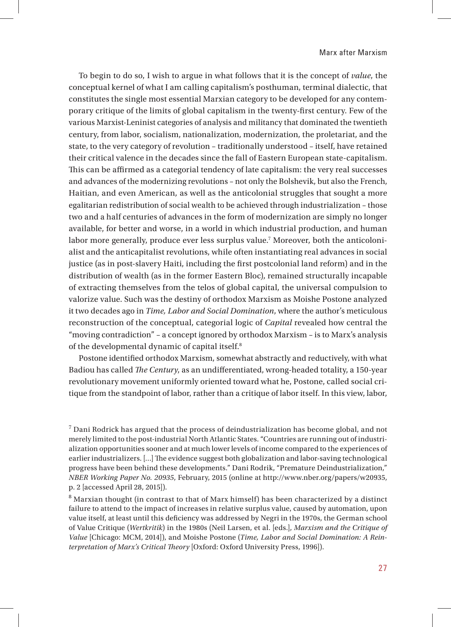To begin to do so, I wish to argue in what follows that it is the concept of *value*, the conceptual kernel of what I am calling capitalism's posthuman, terminal dialectic, that constitutes the single most essential Marxian category to be developed for any contemporary critique of the limits of global capitalism in the twenty-first century. Few of the various Marxist-Leninist categories of analysis and militancy that dominated the twentieth century, from labor, socialism, nationalization, modernization, the proletariat, and the state, to the very category of revolution – traditionally understood – itself, have retained their critical valence in the decades since the fall of Eastern European state-capitalism. This can be affirmed as a categorial tendency of late capitalism: the very real successes and advances of the modernizing revolutions – not only the Bolshevik, but also the French, Haitian, and even American, as well as the anticolonial struggles that sought a more egalitarian redistribution of social wealth to be achieved through industrialization – those two and a half centuries of advances in the form of modernization are simply no longer available, for better and worse, in a world in which industrial production, and human labor more generally, produce ever less surplus value.7 Moreover, both the anticolonialist and the anticapitalist revolutions, while often instantiating real advances in social justice (as in post-slavery Haiti, including the first postcolonial land reform) and in the distribution of wealth (as in the former Eastern Bloc), remained structurally incapable of extracting themselves from the telos of global capital, the universal compulsion to valorize value. Such was the destiny of orthodox Marxism as Moishe Postone analyzed it two decades ago in *Time, Labor and Social Domination*, where the author's meticulous reconstruction of the conceptual, categorial logic of *Capital* revealed how central the "moving contradiction" – a concept ignored by orthodox Marxism – is to Marx's analysis of the developmental dynamic of capital itself.8

Postone identified orthodox Marxism, somewhat abstractly and reductively, with what Badiou has called *The Century*, as an undifferentiated, wrong-headed totality, a 150-year revolutionary movement uniformly oriented toward what he, Postone, called social critique from the standpoint of labor, rather than a critique of labor itself. In this view, labor,

 $^7$  Dani Rodrick has argued that the process of deindustrialization has become global, and not merely limited to the post-industrial North Atlantic States. "Countries are running out of industrialization opportunities sooner and at much lower levels of income compared to the experiences of earlier industrializers. [...] The evidence suggest both globalization and labor-saving technological progress have been behind these developments." Dani Rodrik, "Premature Deindustrialization," *NBER Working Paper No. 20935*, February, 2015 (online at http://www.nber.org/papers/w20935, p. 2 [accessed April 28, 2015]).

<sup>&</sup>lt;sup>8</sup> Marxian thought (in contrast to that of Marx himself) has been characterized by a distinct failure to attend to the impact of increases in relative surplus value, caused by automation, upon value itself, at least until this deficiency was addressed by Negri in the 1970s, the German school of Value Critique (*Wertkritik*) in the 1980s (Neil Larsen, et al. [eds.], *Marxism and the Critique of Value* [Chicago: MCM, 2014]), and Moishe Postone (*Time, Labor and Social Domination: A Reinterpretation of Marx's Critical Theory* [Oxford: Oxford University Press, 1996]).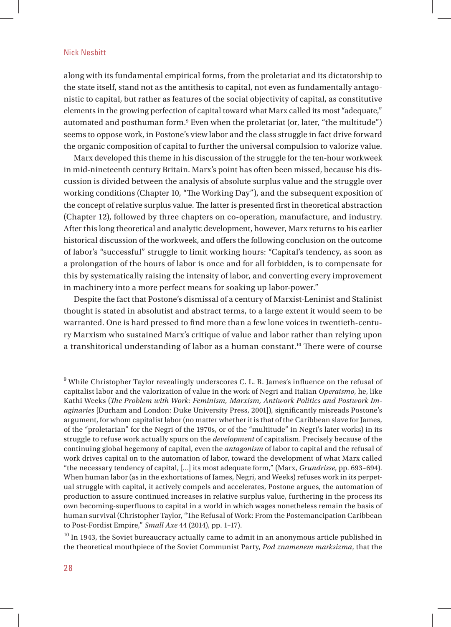along with its fundamental empirical forms, from the proletariat and its dictatorship to the state itself, stand not as the antithesis to capital, not even as fundamentally antagonistic to capital, but rather as features of the social objectivity of capital, as constitutive elements in the growing perfection of capital toward what Marx called its most "adequate," automated and posthuman form.9 Even when the proletariat (or, later, "the multitude") seems to oppose work, in Postone's view labor and the class struggle in fact drive forward the organic composition of capital to further the universal compulsion to valorize value.

Marx developed this theme in his discussion of the struggle for the ten-hour workweek in mid-nineteenth century Britain. Marx's point has often been missed, because his discussion is divided between the analysis of absolute surplus value and the struggle over working conditions (Chapter 10, "The Working Day"), and the subsequent exposition of the concept of relative surplus value. The latter is presented first in theoretical abstraction (Chapter 12), followed by three chapters on co-operation, manufacture, and industry. After this long theoretical and analytic development, however, Marx returns to his earlier historical discussion of the workweek, and offers the following conclusion on the outcome of labor's "successful" struggle to limit working hours: "Capital's tendency, as soon as a prolongation of the hours of labor is once and for all forbidden, is to compensate for this by systematically raising the intensity of labor, and converting every improvement in machinery into a more perfect means for soaking up labor-power."

Despite the fact that Postone's dismissal of a century of Marxist-Leninist and Stalinist thought is stated in absolutist and abstract terms, to a large extent it would seem to be warranted. One is hard pressed to find more than a few lone voices in twentieth-century Marxism who sustained Marx's critique of value and labor rather than relying upon a transhitorical understanding of labor as a human constant.<sup>10</sup> There were of course

 $10$  In 1943, the Soviet bureaucracy actually came to admit in an anonymous article published in the theoretical mouthpiece of the Soviet Communist Party, *Pod znamenem marksizma*, that the

<sup>&</sup>lt;sup>9</sup> While Christopher Taylor revealingly underscores C. L. R. James's influence on the refusal of capitalist labor and the valorization of value in the work of Negri and Italian *Operaismo*, he, like Kathi Weeks (The Problem with Work: Feminism, Marxism, Antiwork Politics and Postwork Im*aginaries* [Durham and London: Duke University Press, 2001]), significantly misreads Postone's argument, for whom capitalist labor (no matter whether it is that of the Caribbean slave for James, of the "proletarian" for the Negri of the 1970s, or of the "multitude" in Negri's later works) in its struggle to refuse work actually spurs on the *development* of capitalism. Precisely because of the continuing global hegemony of capital, even the *antagonism* of labor to capital and the refusal of work drives capital on to the automation of labor, toward the development of what Marx called "the necessary tendency of capital, […] its most adequate form," (Marx, *Grundrisse*, pp. 693–694). When human labor (as in the exhortations of James, Negri, and Weeks) refuses work in its perpetual struggle with capital, it actively compels and accelerates, Postone argues, the automation of production to assure continued increases in relative surplus value, furthering in the process its own becoming-superfluous to capital in a world in which wages nonetheless remain the basis of human survival (Christopher Taylor, "The Refusal of Work: From the Postemancipation Caribbean to Post-Fordist Empire," *Small Axe* 44 (2014), pp. 1–17).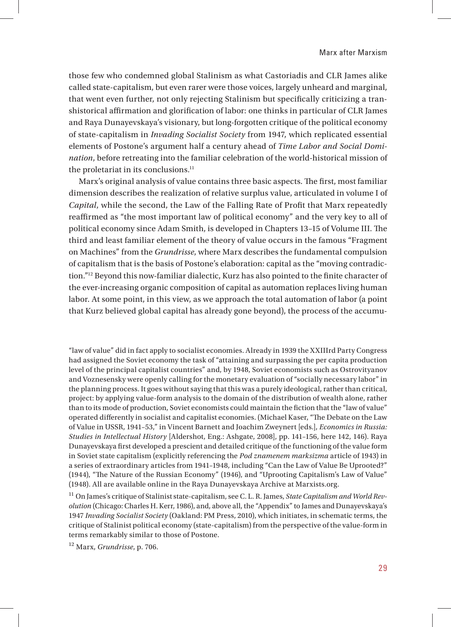those few who condemned global Stalinism as what Castoriadis and CLR James alike called state-capitalism, but even rarer were those voices, largely unheard and marginal, that went even further, not only rejecting Stalinism but specifically criticizing a transhistorical affirmation and glorification of labor: one thinks in particular of CLR James and Raya Dunayevskaya's visionary, but long-forgotten critique of the political economy of state-capitalism in *Invading Socialist Society* from 1947, which replicated essential elements of Postone's argument half a century ahead of *Time Labor and Social Domination*, before retreating into the familiar celebration of the world-historical mission of the proletariat in its conclusions.<sup>11</sup>

Marx's original analysis of value contains three basic aspects. The first, most familiar dimension describes the realization of relative surplus value, articulated in volume I of *Capital*, while the second, the Law of the Falling Rate of Profit that Marx repeatedly reaffirmed as "the most important law of political economy" and the very key to all of political economy since Adam Smith, is developed in Chapters 13-15 of Volume III. The third and least familiar element of the theory of value occurs in the famous "Fragment on Machines" from the *Grundrisse*, where Marx describes the fundamental compulsion of capitalism that is the basis of Postone's elaboration: capital as the "moving contradiction."<sup>12</sup> Beyond this now-familiar dialectic, Kurz has also pointed to the finite character of the ever-increasing organic composition of capital as automation replaces living human labor. At some point, in this view, as we approach the total automation of labor (a point that Kurz believed global capital has already gone beyond), the process of the accumu-

"law of value" did in fact apply to socialist economies. Already in 1939 the XXIIIrd Party Congress had assigned the Soviet economy the task of "attaining and surpassing the per capita production level of the principal capitalist countries" and, by 1948, Soviet economists such as Ostrovityanov and Voznesensky were openly calling for the monetary evaluation of "socially necessary labor" in the planning process. It goes without saying that this was a purely ideological, rather than critical, project: by applying value-form analysis to the domain of the distribution of wealth alone, rather than to its mode of production, Soviet economists could maintain the fiction that the "law of value" operated differently in socialist and capitalist economies. (Michael Kaser, "The Debate on the Law of Value in USSR, 1941–53," in Vincent Barnett and Joachim Zweynert [eds.], *Economics in Russia: Studies in Intellectual History* [Aldershot, Eng.: Ashgate, 2008], pp. 141–156, here 142, 146). Raya Dunayevskaya first developed a prescient and detailed critique of the functioning of the value form in Soviet state capitalism (explicitly referencing the *Pod znamenem marksizma* article of 1943) in a series of extraordinary articles from 1941–1948, including "Can the Law of Value Be Uprooted?" (1944), "The Nature of the Russian Economy" (1946), and "Uprooting Capitalism's Law of Value" (1948). All are available online in the Raya Dunayevskaya Archive at Marxists.org.

11 On James's critique of Stalinist state-capitalism, see C. L. R. James, *State Capitalism and World Revolution* (Chicago: Charles H. Kerr, 1986), and, above all, the "Appendix" to James and Dunayevskaya's 1947 *Invading Socialist Society* (Oakland: PM Press, 2010), which initiates, in schematic terms, the critique of Stalinist political economy (state-capitalism) from the perspective of the value-form in terms remarkably similar to those of Postone.

12 Marx, *Grundrisse*, p. 706.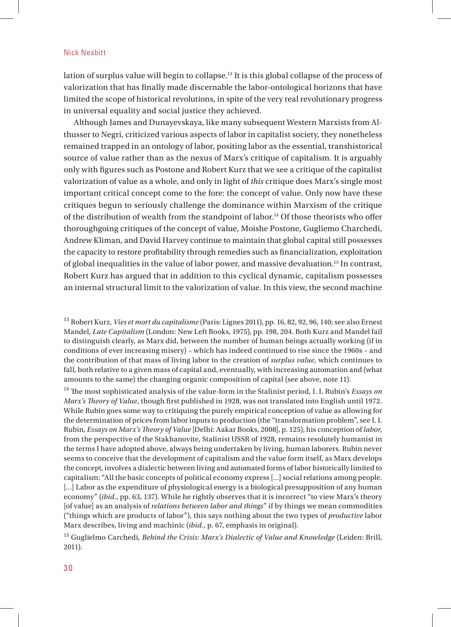lation of surplus value will begin to collapse.13 It is this global collapse of the process of valorization that has finally made discernable the labor-ontological horizons that have limited the scope of historical revolutions, in spite of the very real revolutionary progress in universal equality and social justice they achieved.

Although James and Dunayevskaya, like many subsequent Western Marxists from Althusser to Negri, criticized various aspects of labor in capitalist society, they nonetheless remained trapped in an ontology of labor, positing labor as the essential, transhistorical source of value rather than as the nexus of Marx's critique of capitalism. It is arguably only with figures such as Postone and Robert Kurz that we see a critique of the capitalist valorization of value as a whole, and only in light of *this* critique does Marx's single most important critical concept come to the fore: the concept of value. Only now have these critiques begun to seriously challenge the dominance within Marxism of the critique of the distribution of wealth from the standpoint of labor.<sup>14</sup> Of those theorists who offer thoroughgoing critiques of the concept of value, Moishe Postone, Gugliemo Charchedi, Andrew Kliman, and David Harvey continue to maintain that global capital still possesses the capacity to restore profitability through remedies such as financialization, exploitation of global inequalities in the value of labor power, and massive devaluation.15 In contrast, Robert Kurz has argued that in addition to this cyclical dynamic, capitalism possesses an internal structural limit to the valorization of value. In this view, the second machine

13 Robert Kurz, *Vies et mort du capitalisme* (Paris: Lignes 2011), pp. 16, 82, 92, 96, 140; see also Ernest Mandel, *Late Capitalism* (London: New Left Books, 1975), pp. 198, 204. Both Kurz and Mandel fail to distinguish clearly, as Marx did, between the number of human beings actually working (if in conditions of ever increasing misery) – which has indeed continued to rise since the 1960s – and the contribution of that mass of living labor to the creation of *surplus value*, which continues to fall, both relative to a given mass of capital and, eventually, with increasing automation and (what amounts to the same) the changing organic composition of capital (see above, note 11).

<sup>14</sup> The most sophisticated analysis of the value-form in the Stalinist period, I. I. Rubin's *Essays on Marx's Theory of Value*, though first published in 1928, was not translated into English until 1972. While Rubin goes some way to critiquing the purely empirical conception of value as allowing for the determination of prices from labor inputs to production (the "transformation problem", see I. I. Rubin, *Essays on Marx's Th eory of Value* [Delhi: Aakar Books, 2008], p. 125), his conception of *labor*, from the perspective of the Stakhanovite, Stalinist USSR of 1928, remains resolutely humanist in the terms I have adopted above, always being undertaken by living, human laborers. Rubin never seems to conceive that the development of capitalism and the value form itself, as Marx develops the concept, involves a dialectic between living and automated forms of labor historically limited to capitalism: "All the basic concepts of political economy express […] social relations among people. [...] Labor as the expenditure of physiological energy is a biological presupposition of any human economy" (*ibid.*, pp. 63, 137). While he rightly observes that it is incorrect "to view Marx's theory [of value] as an analysis of *relations between labor and things*" if by things we mean commodities ("things which are products of labor"), this says nothing about the two types of *productive* labor Marx describes, living and machinic (*ibid.*, p. 67, emphasis in original).

15 Guglielmo Carchedi, *Behind the Crisis: Marx's Dialectic of Value and Knowledge* (Leiden: Brill, 2011).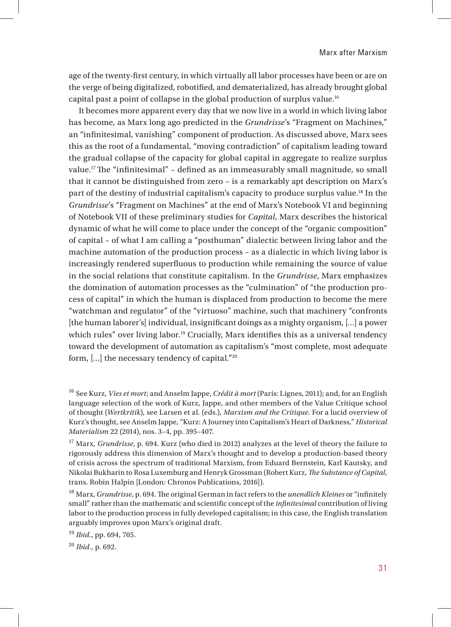Marx after Marxism

age of the twenty-first century, in which virtually all labor processes have been or are on the verge of being digitalized, robotified, and dematerialized, has already brought global capital past a point of collapse in the global production of surplus value.16

It becomes more apparent every day that we now live in a world in which living labor has become, as Marx long ago predicted in the *Grundrisse*'s "Fragment on Machines," an "infinitesimal, vanishing" component of production. As discussed above, Marx sees this as the root of a fundamental, "moving contradiction" of capitalism leading toward the gradual collapse of the capacity for global capital in aggregate to realize surplus value.<sup>17</sup> The "infinitesimal" – defined as an immeasurably small magnitude, so small that it cannot be distinguished from zero – is a remarkably apt description on Marx's part of the destiny of industrial capitalism's capacity to produce surplus value.18 In the *Grundrisse*'s "Fragment on Machines" at the end of Marx's Notebook VI and beginning of Notebook VII of these preliminary studies for *Capital*, Marx describes the historical dynamic of what he will come to place under the concept of the "organic composition" of capital – of what I am calling a "posthuman" dialectic between living labor and the machine automation of the production process – as a dialectic in which living labor is increasingly rendered superfluous to production while remaining the source of value in the social relations that constitute capitalism. In the *Grundrisse*, Marx emphasizes the domination of automation processes as the "culmination" of "the production process of capital" in which the human is displaced from production to become the mere "watchman and regulator" of the "virtuoso" machine, such that machinery "confronts [the human laborer's] individual, insignificant doings as a mighty organism, [...] a power which rules" over living labor.<sup>19</sup> Crucially, Marx identifies this as a universal tendency toward the development of automation as capitalism's "most complete, most adequate form, […] the necessary tendency of capital."20

19 *Ibid.*, pp. 694, 705.

20 *Ibid.*, p. 692.

<sup>16</sup> See Kurz, *Vies et mort*; and Anselm Jappe, *Crédit à mort* (Paris: Lignes, 2011); and, for an English language selection of the work of Kurz, Jappe, and other members of the Value Critique school of thought (*Wertkritik*), see Larsen et al. (eds.), *Marxism and the Critique*. For a lucid overview of Kurz's thought, see Anselm Jappe, "Kurz: A Journey into Capitalism's Heart of Darkness," *Historical Materialism* 22 (2014), nos. 3–4, pp. 395–407.

<sup>17</sup> Marx, *Grundrisse*, p. 694. Kurz (who died in 2012) analyzes at the level of theory the failure to rigorously address this dimension of Marx's thought and to develop a production-based theory of crisis across the spectrum of traditional Marxism, from Eduard Bernstein, Karl Kautsky, and Nikolai Bukharin to Rosa Luxemburg and Henryk Grossman (Robert Kurz, *Th e Substance of Capital*, trans. Robin Halpin [London: Chronos Publications, 2016]).

<sup>&</sup>lt;sup>18</sup> Marx, *Grundrisse*, p. 694. The original German in fact refers to the *unendlich Kleines* or "infinitely small" rather than the mathematic and scientific concept of the *infinitesimal* contribution of living labor to the production process in fully developed capitalism; in this case, the English translation arguably improves upon Marx's original draft.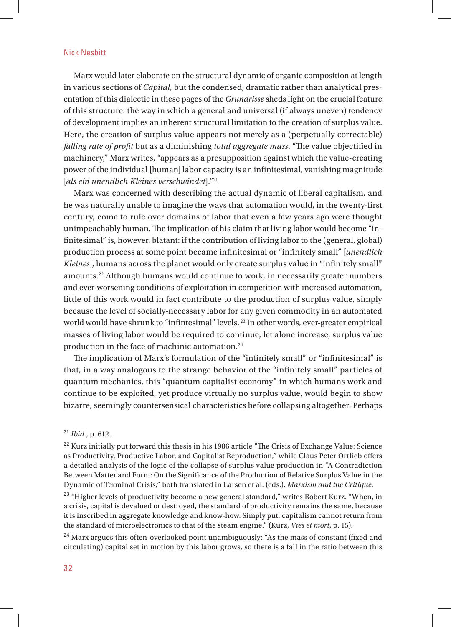Marx would later elaborate on the structural dynamic of organic composition at length in various sections of *Capital,* but the condensed, dramatic rather than analytical presentation of this dialectic in these pages of the *Grundrisse* sheds light on the crucial feature of this structure: the way in which a general and universal (if always uneven) tendency of development implies an inherent structural limitation to the creation of surplus value. Here, the creation of surplus value appears not merely as a (perpetually correctable) *falling rate of profit* but as a diminishing *total aggregate mass*. "The value objectified in machinery," Marx writes, "appears as a presupposition against which the value-creating power of the individual [human] labor capacity is an infinitesimal, vanishing magnitude [*als ein unendlich Kleines verschwindet*]."21

Marx was concerned with describing the actual dynamic of liberal capitalism, and he was naturally unable to imagine the ways that automation would, in the twenty-first century, come to rule over domains of labor that even a few years ago were thought unimpeachably human. The implication of his claim that living labor would become "infinitesimal" is, however, blatant: if the contribution of living labor to the (general, global) production process at some point became infinitesimal or "infinitely small" [*unendlich Kleines*], humans across the planet would only create surplus value in "infinitely small" amounts.22 Although humans would continue to work, in necessarily greater numbers and ever-worsening conditions of exploitation in competition with increased automation, little of this work would in fact contribute to the production of surplus value, simply because the level of socially-necessary labor for any given commodity in an automated world would have shrunk to "infintesimal" levels.<sup>23</sup> In other words, ever-greater empirical masses of living labor would be required to continue, let alone increase, surplus value production in the face of machinic automation.24

The implication of Marx's formulation of the "infinitely small" or "infinitesimal" is that, in a way analogous to the strange behavior of the "infinitely small" particles of quantum mechanics, this "quantum capitalist economy" in which humans work and continue to be exploited, yet produce virtually no surplus value, would begin to show bizarre, seemingly countersensical characteristics before collapsing altogether. Perhaps

<sup>23</sup> "Higher levels of productivity become a new general standard," writes Robert Kurz. "When, in a crisis, capital is devalued or destroyed, the standard of productivity remains the same, because it is inscribed in aggregate knowledge and know-how. Simply put: capitalism cannot return from the standard of microelectronics to that of the steam engine." (Kurz, *Vies et mort*, p. 15).

 $24$  Marx argues this often-overlooked point unambiguously: "As the mass of constant (fixed and circulating) capital set in motion by this labor grows, so there is a fall in the ratio between this

<sup>21</sup> *Ibid.*, p. 612.

 $22$  Kurz initially put forward this thesis in his 1986 article "The Crisis of Exchange Value: Science as Productivity, Productive Labor, and Capitalist Reproduction," while Claus Peter Ortlieb offers a detailed analysis of the logic of the collapse of surplus value production in "A Contradiction Between Matter and Form: On the Significance of the Production of Relative Surplus Value in the Dynamic of Terminal Crisis," both translated in Larsen et al. (eds.), *Marxism and the Critique.*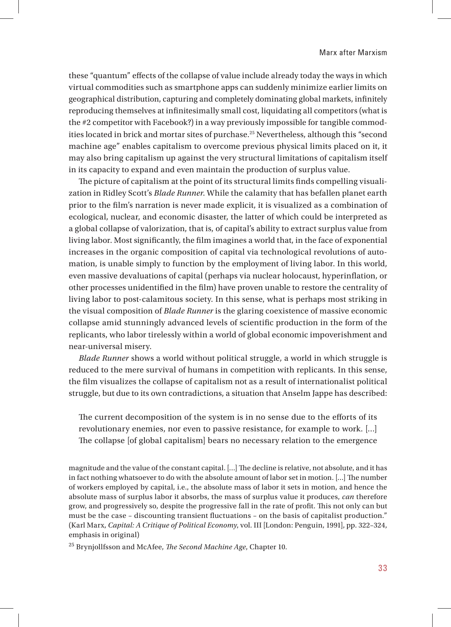these "quantum" effects of the collapse of value include already today the ways in which virtual commodities such as smartphone apps can suddenly minimize earlier limits on geographical distribution, capturing and completely dominating global markets, infinitely reproducing themselves at infinitesimally small cost, liquidating all competitors (what is the #2 competitor with Facebook?) in a way previously impossible for tangible commodities located in brick and mortar sites of purchase.25 Nevertheless, although this "second machine age" enables capitalism to overcome previous physical limits placed on it, it may also bring capitalism up against the very structural limitations of capitalism itself in its capacity to expand and even maintain the production of surplus value.

The picture of capitalism at the point of its structural limits finds compelling visualization in Ridley Scott's *Blade Runner*. While the calamity that has befallen planet earth prior to the film's narration is never made explicit, it is visualized as a combination of ecological, nuclear, and economic disaster, the latter of which could be interpreted as a global collapse of valorization, that is, of capital's ability to extract surplus value from living labor. Most significantly, the film imagines a world that, in the face of exponential increases in the organic composition of capital via technological revolutions of automation, is unable simply to function by the employment of living labor. In this world, even massive devaluations of capital (perhaps via nuclear holocaust, hyperinflation, or other processes unidentified in the film) have proven unable to restore the centrality of living labor to post-calamitous society. In this sense, what is perhaps most striking in the visual composition of *Blade Runner* is the glaring coexistence of massive economic collapse amid stunningly advanced levels of scientific production in the form of the replicants, who labor tirelessly within a world of global economic impoverishment and near-universal misery.

*Blade Runner* shows a world without political struggle, a world in which struggle is reduced to the mere survival of humans in competition with replicants. In this sense, the film visualizes the collapse of capitalism not as a result of internationalist political struggle, but due to its own contradictions, a situation that Anselm Jappe has described:

The current decomposition of the system is in no sense due to the efforts of its revolutionary enemies, nor even to passive resistance, for example to work. […] The collapse [of global capitalism] bears no necessary relation to the emergence

magnitude and the value of the constant capital. [...] The decline is relative, not absolute, and it has in fact nothing whatsoever to do with the absolute amount of labor set in motion. [...] The number of workers employed by capital, i.e., the absolute mass of labor it sets in motion, and hence the absolute mass of surplus labor it absorbs, the mass of surplus value it produces, *can* therefore grow, and progressively so, despite the progressive fall in the rate of profit. This not only can but must be the case – discounting transient fluctuations – on the basis of capitalist production." (Karl Marx, *Capital: A Critique of Political Economy*, vol. III [London: Penguin, 1991], pp. 322–324, emphasis in original)

<sup>25</sup> Brynjollfsson and McAfee, *The Second Machine Age*, Chapter 10.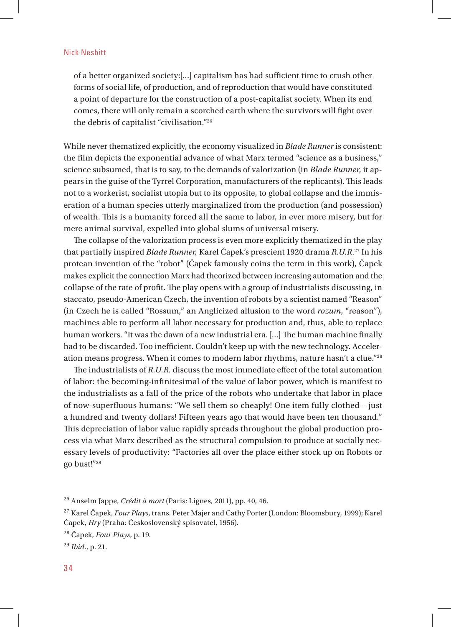of a better organized society:[...] capitalism has had sufficient time to crush other forms of social life, of production, and of reproduction that would have constituted a point of departure for the construction of a post-capitalist society. When its end comes, there will only remain a scorched earth where the survivors will fight over the debris of capitalist "civilisation."26

While never thematized explicitly, the economy visualized in *Blade Runner* is consistent: the film depicts the exponential advance of what Marx termed "science as a business," science subsumed, that is to say, to the demands of valorization (in *Blade Runner*, it appears in the guise of the Tyrrel Corporation, manufacturers of the replicants). This leads not to a workerist, socialist utopia but to its opposite, to global collapse and the immiseration of a human species utterly marginalized from the production (and possession) of wealth. This is a humanity forced all the same to labor, in ever more misery, but for mere animal survival, expelled into global slums of universal misery.

The collapse of the valorization process is even more explicitly thematized in the play that partially inspired *Blade Runner,* Karel Čapek's prescient 1920 drama *R.U.R*. 27 In his protean invention of the "robot" (Čapek famously coins the term in this work), Čapek makes explicit the connection Marx had theorized between increasing automation and the collapse of the rate of profit. The play opens with a group of industrialists discussing, in staccato, pseudo-American Czech, the invention of robots by a scientist named "Reason" (in Czech he is called "Rossum," an Anglicized allusion to the word *rozum*, "reason"), machines able to perform all labor necessary for production and, thus, able to replace human workers. "It was the dawn of a new industrial era. [...] The human machine finally had to be discarded. Too inefficient. Couldn't keep up with the new technology. Acceleration means progress. When it comes to modern labor rhythms, nature hasn't a clue."28

The industrialists of *R.U.R.* discuss the most immediate effect of the total automation of labor: the becoming-infinitesimal of the value of labor power, which is manifest to the industrialists as a fall of the price of the robots who undertake that labor in place of now-superfl uous humans: "We sell them so cheaply! One item fully clothed – just a hundred and twenty dollars! Fifteen years ago that would have been ten thousand." This depreciation of labor value rapidly spreads throughout the global production process via what Marx described as the structural compulsion to produce at socially necessary levels of productivity: "Factories all over the place either stock up on Robots or go bust!"29

<sup>26</sup> Anselm Jappe, *Cré dit à mort* (Paris: Lignes, 2011), pp. 40, 46.

<sup>27</sup> Karel Čapek, *Four Plays*, trans. Peter Majer and Cathy Porter (London: Bloomsbury, 1999); Karel Čapek, *Hry* (Praha: Československý spisovatel, 1956).

<sup>28</sup> Čapek, *Four Plays*, p. 19.

<sup>29</sup> *Ibid.*, p. 21.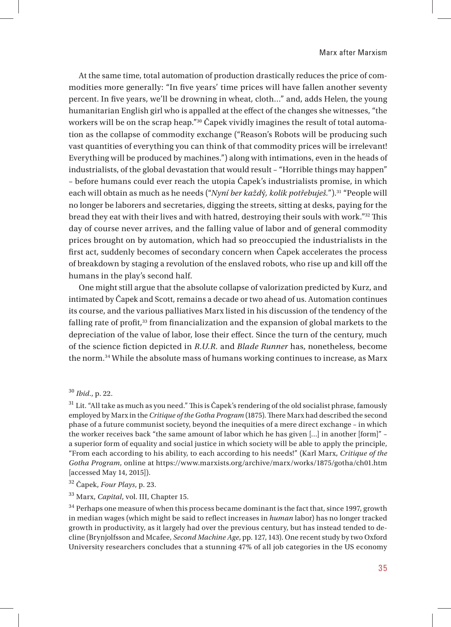At the same time, total automation of production drastically reduces the price of commodities more generally: "In five years' time prices will have fallen another seventy percent. In five years, we'll be drowning in wheat, cloth..." and, adds Helen, the young humanitarian English girl who is appalled at the effect of the changes she witnesses, "the workers will be on the scrap heap."30 Čapek vividly imagines the result of total automation as the collapse of commodity exchange ("Reason's Robots will be producing such vast quantities of everything you can think of that commodity prices will be irrelevant! Everything will be produced by machines.") along with intimations, even in the heads of industrialists, of the global devastation that would result – "Horrible things may happen" – before humans could ever reach the utopia Čapek's industrialists promise, in which each will obtain as much as he needs ("*Nyní ber každ*ý*, kolik potřebuješ.*").31 "People will no longer be laborers and secretaries, digging the streets, sitting at desks, paying for the bread they eat with their lives and with hatred, destroying their souls with work."<sup>32</sup> This day of course never arrives, and the falling value of labor and of general commodity prices brought on by automation, which had so preoccupied the industrialists in the first act, suddenly becomes of secondary concern when Čapek accelerates the process of breakdown by staging a revolution of the enslaved robots, who rise up and kill off the humans in the play's second half.

One might still argue that the absolute collapse of valorization predicted by Kurz, and intimated by Čapek and Scott, remains a decade or two ahead of us. Automation continues its course, and the various palliatives Marx listed in his discussion of the tendency of the falling rate of profit, $33$  from financialization and the expansion of global markets to the depreciation of the value of labor, lose their effect. Since the turn of the century, much of the science fi ction depicted in *R.U.R.* and *Blade Runner* has, nonetheless, become the norm.34 While the absolute mass of humans working continues to increase, as Marx

30 *Ibid.*, p. 22.

 $31$  Lit. "All take as much as you need." This is Čapek's rendering of the old socialist phrase, famously employed by Marx in the *Critique of the Gotha Program* (1875). There Marx had described the second phase of a future communist society, beyond the inequities of a mere direct exchange – in which the worker receives back "the same amount of labor which he has given […] in another [form]" – a superior form of equality and social justice in which society will be able to apply the principle, "From each according to his ability, to each according to his needs!" (Karl Marx, *Critique of the Gotha Program*, online at https://www.marxists.org/archive/marx/works/1875/gotha/ch01.htm [accessed May 14, 2015]).

32 Čapek, *Four Plays*, p. 23.

33 Marx, *Capital*, vol. III, Chapter 15.

 $^{\rm 34}$  Perhaps one measure of when this process became dominant is the fact that, since 1997, growth in median wages (which might be said to reflect increases in *human* labor) has no longer tracked growth in productivity, as it largely had over the previous century, but has instead tended to decline (Brynjolfsson and Mcafee, *Second Machine Age*, pp. 127, 143). One recent study by two Oxford University researchers concludes that a stunning 47% of all job categories in the US economy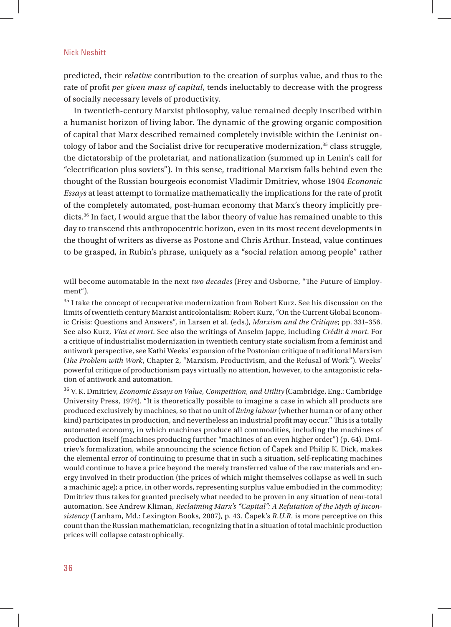predicted, their *relative* contribution to the creation of surplus value, and thus to the rate of profit *per given mass of capital*, tends ineluctably to decrease with the progress of socially necessary levels of productivity.

In twentieth-century Marxist philosophy, value remained deeply inscribed within a humanist horizon of living labor. The dynamic of the growing organic composition of capital that Marx described remained completely invisible within the Leninist ontology of labor and the Socialist drive for recuperative modernization, $35$  class struggle, the dictatorship of the proletariat, and nationalization (summed up in Lenin's call for "electrification plus soviets"). In this sense, traditional Marxism falls behind even the thought of the Russian bourgeois economist Vladimir Dmitriev, whose 1904 *Economic Essays* at least attempt to formalize mathematically the implications for the rate of profit of the completely automated, post-human economy that Marx's theory implicitly predicts.36 In fact, I would argue that the labor theory of value has remained unable to this day to transcend this anthropocentric horizon, even in its most recent developments in the thought of writers as diverse as Postone and Chris Arthur. Instead, value continues to be grasped, in Rubin's phrase, uniquely as a "social relation among people" rather

will become automatable in the next *two decades* (Frey and Osborne, "The Future of Employment").

 $^{35}$  I take the concept of recuperative modernization from Robert Kurz. See his discussion on the limits of twentieth century Marxist anticolonialism: Robert Kurz, "On the Current Global Economic Crisis: Questions and Answers", in Larsen et al. (eds.), *Marxism and the Critique*; pp. 331–356. See also Kurz, *Vies et mort*. See also the writings of Anselm Jappe, including *Crédit à mort*. For a critique of industrialist modernization in twentieth century state socialism from a feminist and antiwork perspective, see Kathi Weeks' expansion of the Postonian critique of traditional Marxism (*The Problem with Work*, Chapter 2, "Marxism, Productivism, and the Refusal of Work"). Weeks' powerful critique of productionism pays virtually no attention, however, to the antagonistic relation of antiwork and automation.

36 V. K. Dmitriev, *Economic Essays on Value, Competition, and Utility* (Cambridge, Eng.: Cambridge University Press, 1974). "It is theoretically possible to imagine a case in which all products are produced exclusively by machines, so that no unit of *living labour* (whether human or of any other kind) participates in production, and nevertheless an industrial profit may occur." This is a totally automated economy, in which machines produce all commodities, including the machines of production itself (machines producing further "machines of an even higher order") (p. 64). Dmitriev's formalization, while announcing the science fiction of Čapek and Philip K. Dick, makes the elemental error of continuing to presume that in such a situation, self-replicating machines would continue to have a price beyond the merely transferred value of the raw materials and energy involved in their production (the prices of which might themselves collapse as well in such a machinic age); a price, in other words, representing surplus value embodied in the commodity; Dmitriev thus takes for granted precisely what needed to be proven in any situation of near-total automation. See Andrew Kliman, *Reclaiming Marx's "Capital": A Refutation of the Myth of Inconsistency* (Lanham, Md.: Lexington Books, 2007), p. 43. Čapek's *R.U.R.* is more perceptive on this count than the Russian mathematician, recognizing that in a situation of total machinic production prices will collapse catastrophically.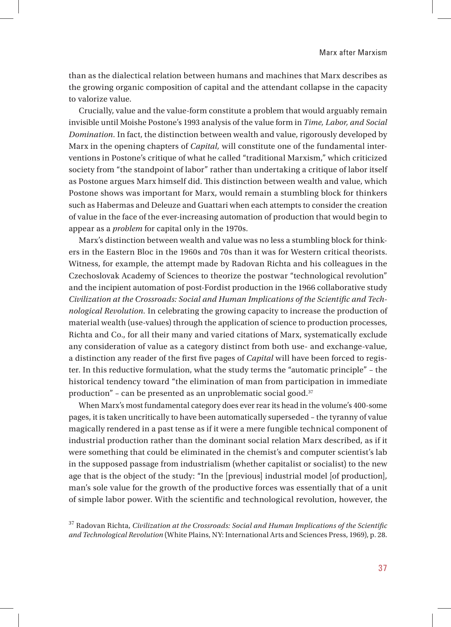than as the dialectical relation between humans and machines that Marx describes as the growing organic composition of capital and the attendant collapse in the capacity to valorize value.

Crucially, value and the value-form constitute a problem that would arguably remain invisible until Moishe Postone's 1993 analysis of the value form in *Time, Labor, and Social Domination.* In fact, the distinction between wealth and value, rigorously developed by Marx in the opening chapters of *Capital,* will constitute one of the fundamental interventions in Postone's critique of what he called "traditional Marxism," which criticized society from "the standpoint of labor" rather than undertaking a critique of labor itself as Postone argues Marx himself did. This distinction between wealth and value, which Postone shows was important for Marx, would remain a stumbling block for thinkers such as Habermas and Deleuze and Guattari when each attempts to consider the creation of value in the face of the ever-increasing automation of production that would begin to appear as a *problem* for capital only in the 1970s.

Marx's distinction between wealth and value was no less a stumbling block for thinkers in the Eastern Bloc in the 1960s and 70s than it was for Western critical theorists. Witness, for example, the attempt made by Radovan Richta and his colleagues in the Czechoslovak Academy of Sciences to theorize the postwar "technological revolution" and the incipient automation of post-Fordist production in the 1966 collaborative study Civilization at the Crossroads: Social and Human Implications of the Scientific and Tech*nological Revolution.* In celebrating the growing capacity to increase the production of material wealth (use-values) through the application of science to production processes, Richta and Co., for all their many and varied citations of Marx, systematically exclude any consideration of value as a category distinct from both use- and exchange-value, a distinction any reader of the first five pages of *Capital* will have been forced to register. In this reductive formulation, what the study terms the "automatic principle" – the historical tendency toward "the elimination of man from participation in immediate production" – can be presented as an unproblematic social good. $37$ 

When Marx's most fundamental category does ever rear its head in the volume's 400-some pages, it is taken uncritically to have been automatically superseded – the tyranny of value magically rendered in a past tense as if it were a mere fungible technical component of industrial production rather than the dominant social relation Marx described, as if it were something that could be eliminated in the chemist's and computer scientist's lab in the supposed passage from industrialism (whether capitalist or socialist) to the new age that is the object of the study: "In the [previous] industrial model [of production], man's sole value for the growth of the productive forces was essentially that of a unit of simple labor power. With the scientific and technological revolution, however, the

<sup>37</sup> Radovan Richta, *Civilization at the Crossroads: Social and Human Implications of the Scientific and Technological Revolution* (White Plains, NY: International Arts and Sciences Press, 1969), p. 28.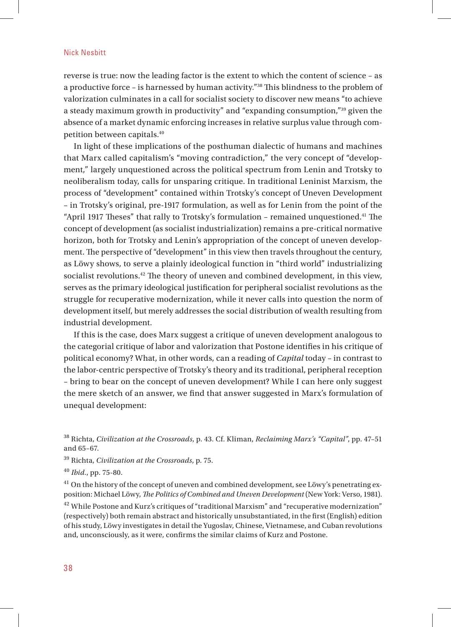reverse is true: now the leading factor is the extent to which the content of science – as a productive force - is harnessed by human activity."<sup>38</sup> This blindness to the problem of valorization culminates in a call for socialist society to discover new means "to achieve a steady maximum growth in productivity" and "expanding consumption,"39 given the absence of a market dynamic enforcing increases in relative surplus value through competition between capitals.40

In light of these implications of the posthuman dialectic of humans and machines that Marx called capitalism's "moving contradiction," the very concept of "development," largely unquestioned across the political spectrum from Lenin and Trotsky to neoliberalism today, calls for unsparing critique. In traditional Leninist Marxism, the process of "development" contained within Trotsky's concept of Uneven Development – in Trotsky's original, pre-1917 formulation, as well as for Lenin from the point of the "April 1917 Theses" that rally to Trotsky's formulation - remained unquestioned.<sup>41</sup> The concept of development (as socialist industrialization) remains a pre-critical normative horizon, both for Trotsky and Lenin's appropriation of the concept of uneven development. The perspective of "development" in this view then travels throughout the century, as Löwy shows, to serve a plainly ideological function in "third world" industrializing socialist revolutions.<sup>42</sup> The theory of uneven and combined development, in this view, serves as the primary ideological justification for peripheral socialist revolutions as the struggle for recuperative modernization, while it never calls into question the norm of development itself, but merely addresses the social distribution of wealth resulting from industrial development.

If this is the case, does Marx suggest a critique of uneven development analogous to the categorial critique of labor and valorization that Postone identifies in his critique of political economy? What, in other words, can a reading of *Capital* today – in contrast to the labor-centric perspective of Trotsky's theory and its traditional, peripheral reception – bring to bear on the concept of uneven development? While I can here only suggest the mere sketch of an answer, we find that answer suggested in Marx's formulation of unequal development:

38 Richta, *Civilization at the Crossroads*, p. 43. Cf. Kliman, *Reclaiming Marx's "Capital"*, pp. 47–51 and 65–67.

39 Richta, *Civilization at the Crossroads*, p. 75.

40 *Ibid.*, pp. 75-80.

<sup>41</sup> On the history of the concept of uneven and combined development, see Löwy's penetrating exposition: Michael Löwy, *The Politics of Combined and Uneven Development* (New York: Verso, 1981).

 $42$  While Postone and Kurz's critiques of "traditional Marxism" and "recuperative modernization" (respectively) both remain abstract and historically unsubstantiated, in the first (English) edition of his study, Löwy investigates in detail the Yugoslav, Chinese, Vietnamese, and Cuban revolutions and, unconsciously, as it were, confirms the similar claims of Kurz and Postone.